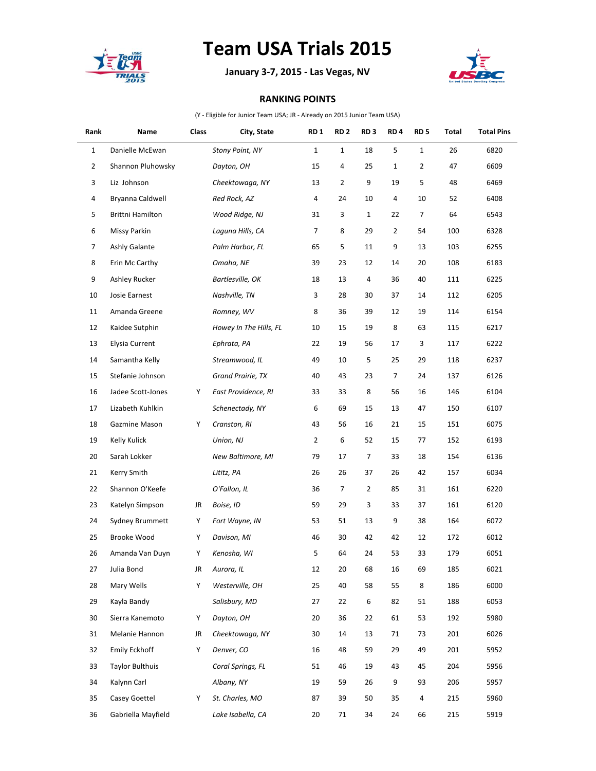

## **Team USA Trials 2015**

**January 3-7, 2015 - Las Vegas, NV**



## **RANKING POINTS**

(Y - Eligible for Junior Team USA; JR - Already on 2015 Junior Team USA)

| Rank           | Name                   | Class | City, State            | RD <sub>1</sub> | <b>RD 2</b>  | RD <sub>3</sub> | RD <sub>4</sub> | RD <sub>5</sub> | Total | <b>Total Pins</b> |
|----------------|------------------------|-------|------------------------|-----------------|--------------|-----------------|-----------------|-----------------|-------|-------------------|
| 1              | Danielle McEwan        |       | Stony Point, NY        | $\mathbf{1}$    | $\mathbf{1}$ | 18              | 5               | $\mathbf 1$     | 26    | 6820              |
| $\overline{2}$ | Shannon Pluhowsky      |       | Dayton, OH             | 15              | 4            | 25              | $\mathbf{1}$    | $\overline{2}$  | 47    | 6609              |
| 3              | Liz Johnson            |       | Cheektowaga, NY        | 13              | 2            | 9               | 19              | 5               | 48    | 6469              |
| 4              | Bryanna Caldwell       |       | Red Rock, AZ           | 4               | 24           | 10              | 4               | 10              | 52    | 6408              |
| 5              | Brittni Hamilton       |       | Wood Ridge, NJ         | 31              | 3            | $\mathbf{1}$    | 22              | 7               | 64    | 6543              |
| 6              | Missy Parkin           |       | Laguna Hills, CA       | $\overline{7}$  | 8            | 29              | $\overline{2}$  | 54              | 100   | 6328              |
| 7              | Ashly Galante          |       | Palm Harbor, FL        | 65              | 5            | 11              | 9               | 13              | 103   | 6255              |
| 8              | Erin Mc Carthy         |       | Omaha, NE              | 39              | 23           | 12              | 14              | 20              | 108   | 6183              |
| 9              | Ashley Rucker          |       | Bartlesville, OK       | 18              | 13           | 4               | 36              | 40              | 111   | 6225              |
| 10             | Josie Earnest          |       | Nashville, TN          | 3               | 28           | 30              | 37              | 14              | 112   | 6205              |
| 11             | Amanda Greene          |       | Romney, WV             | 8               | 36           | 39              | 12              | 19              | 114   | 6154              |
| 12             | Kaidee Sutphin         |       | Howey In The Hills, FL | 10              | 15           | 19              | 8               | 63              | 115   | 6217              |
| 13             | Elysia Current         |       | Ephrata, PA            | 22              | 19           | 56              | 17              | 3               | 117   | 6222              |
| 14             | Samantha Kelly         |       | Streamwood, IL         | 49              | 10           | 5               | 25              | 29              | 118   | 6237              |
| 15             | Stefanie Johnson       |       | Grand Prairie, TX      | 40              | 43           | 23              | 7               | 24              | 137   | 6126              |
| 16             | Jadee Scott-Jones      | Y     | East Providence, RI    | 33              | 33           | 8               | 56              | 16              | 146   | 6104              |
| 17             | Lizabeth Kuhlkin       |       | Schenectady, NY        | 6               | 69           | 15              | 13              | 47              | 150   | 6107              |
| 18             | Gazmine Mason          | Y     | Cranston, RI           | 43              | 56           | 16              | 21              | 15              | 151   | 6075              |
| 19             | Kelly Kulick           |       | Union, NJ              | 2               | 6            | 52              | 15              | 77              | 152   | 6193              |
| 20             | Sarah Lokker           |       | New Baltimore, MI      | 79              | 17           | 7               | 33              | 18              | 154   | 6136              |
| 21             | Kerry Smith            |       | Lititz, PA             | 26              | 26           | 37              | 26              | 42              | 157   | 6034              |
| 22             | Shannon O'Keefe        |       | O'Fallon, IL           | 36              | 7            | $\overline{2}$  | 85              | 31              | 161   | 6220              |
| 23             | Katelyn Simpson        | JR    | Boise, ID              | 59              | 29           | 3               | 33              | 37              | 161   | 6120              |
| 24             | Sydney Brummett        | Y     | Fort Wayne, IN         | 53              | 51           | 13              | 9               | 38              | 164   | 6072              |
| 25             | Brooke Wood            | Υ     | Davison, MI            | 46              | 30           | 42              | 42              | 12              | 172   | 6012              |
| 26             | Amanda Van Duyn        | Υ     | Kenosha, WI            | 5               | 64           | 24              | 53              | 33              | 179   | 6051              |
| 27             | Julia Bond             | JR    | Aurora, IL             | 12              | 20           | 68              | 16              | 69              | 185   | 6021              |
| 28             | Mary Wells             | Y     | Westerville, OH        | 25              | 40           | 58              | 55              | 8               | 186   | 6000              |
| 29             | Kayla Bandy            |       | Salisbury, MD          | 27              | 22           | 6               | 82              | 51              | 188   | 6053              |
| 30             | Sierra Kanemoto        | Υ     | Dayton, OH             | 20              | 36           | 22              | 61              | 53              | 192   | 5980              |
| 31             | Melanie Hannon         | JR    | Cheektowaga, NY        | 30              | 14           | 13              | 71              | 73              | 201   | 6026              |
| 32             | <b>Emily Eckhoff</b>   | Y     | Denver, CO             | 16              | 48           | 59              | 29              | 49              | 201   | 5952              |
| 33             | <b>Taylor Bulthuis</b> |       | Coral Springs, FL      | 51              | 46           | 19              | 43              | 45              | 204   | 5956              |
| 34             | Kalynn Carl            |       | Albany, NY             | 19              | 59           | 26              | 9               | 93              | 206   | 5957              |
| 35             | Casey Goettel          | Y     | St. Charles, MO        | 87              | 39           | 50              | 35              | 4               | 215   | 5960              |
| 36             | Gabriella Mayfield     |       | Lake Isabella, CA      | 20              | 71           | 34              | 24              | 66              | 215   | 5919              |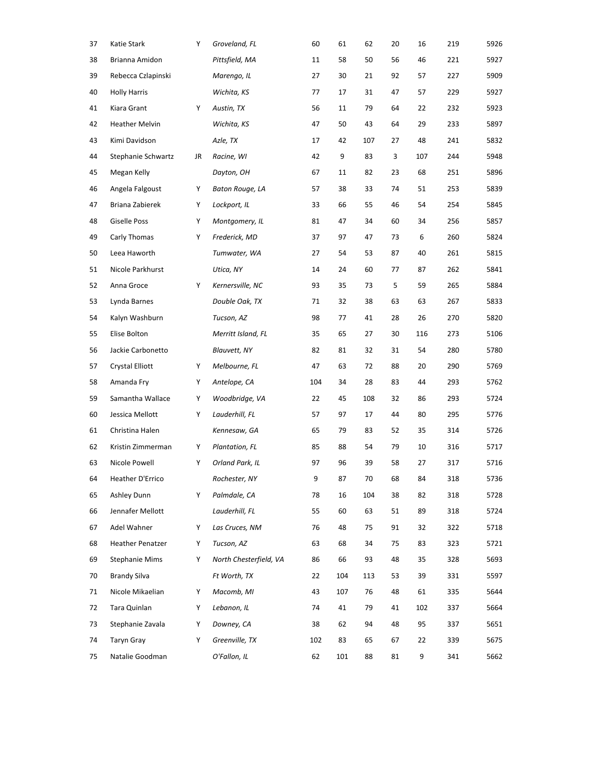| 37 | Katie Stark           | Υ  | Groveland, FL          | 60  | 61  | 62  | 20 | 16  | 219 | 5926 |
|----|-----------------------|----|------------------------|-----|-----|-----|----|-----|-----|------|
| 38 | Brianna Amidon        |    | Pittsfield, MA         | 11  | 58  | 50  | 56 | 46  | 221 | 5927 |
| 39 | Rebecca Czlapinski    |    | Marengo, IL            | 27  | 30  | 21  | 92 | 57  | 227 | 5909 |
| 40 | <b>Holly Harris</b>   |    | Wichita, KS            | 77  | 17  | 31  | 47 | 57  | 229 | 5927 |
| 41 | Kiara Grant           | Υ  | Austin, TX             | 56  | 11  | 79  | 64 | 22  | 232 | 5923 |
| 42 | Heather Melvin        |    | Wichita, KS            | 47  | 50  | 43  | 64 | 29  | 233 | 5897 |
| 43 | Kimi Davidson         |    | Azle, TX               | 17  | 42  | 107 | 27 | 48  | 241 | 5832 |
| 44 | Stephanie Schwartz    | JR | Racine, WI             | 42  | 9   | 83  | 3  | 107 | 244 | 5948 |
| 45 | Megan Kelly           |    | Dayton, OH             | 67  | 11  | 82  | 23 | 68  | 251 | 5896 |
| 46 | Angela Falgoust       | Υ  | Baton Rouge, LA        | 57  | 38  | 33  | 74 | 51  | 253 | 5839 |
| 47 | Briana Zabierek       | Υ  | Lockport, IL           | 33  | 66  | 55  | 46 | 54  | 254 | 5845 |
| 48 | <b>Giselle Poss</b>   | Υ  | Montgomery, IL         | 81  | 47  | 34  | 60 | 34  | 256 | 5857 |
| 49 | Carly Thomas          | Υ  | Frederick, MD          | 37  | 97  | 47  | 73 | 6   | 260 | 5824 |
| 50 | Leea Haworth          |    | Tumwater, WA           | 27  | 54  | 53  | 87 | 40  | 261 | 5815 |
| 51 | Nicole Parkhurst      |    | Utica, NY              | 14  | 24  | 60  | 77 | 87  | 262 | 5841 |
| 52 | Anna Groce            | Y  | Kernersville, NC       | 93  | 35  | 73  | 5  | 59  | 265 | 5884 |
| 53 | Lynda Barnes          |    | Double Oak, TX         | 71  | 32  | 38  | 63 | 63  | 267 | 5833 |
| 54 | Kalyn Washburn        |    | Tucson, AZ             | 98  | 77  | 41  | 28 | 26  | 270 | 5820 |
| 55 | Elise Bolton          |    | Merritt Island, FL     | 35  | 65  | 27  | 30 | 116 | 273 | 5106 |
| 56 | Jackie Carbonetto     |    | <b>Blauvett, NY</b>    | 82  | 81  | 32  | 31 | 54  | 280 | 5780 |
| 57 | Crystal Elliott       | Υ  | Melbourne, FL          | 47  | 63  | 72  | 88 | 20  | 290 | 5769 |
| 58 | Amanda Fry            | Υ  | Antelope, CA           | 104 | 34  | 28  | 83 | 44  | 293 | 5762 |
| 59 | Samantha Wallace      | Υ  | Woodbridge, VA         | 22  | 45  | 108 | 32 | 86  | 293 | 5724 |
| 60 | Jessica Mellott       | Υ  | Lauderhill, FL         | 57  | 97  | 17  | 44 | 80  | 295 | 5776 |
| 61 | Christina Halen       |    | Kennesaw, GA           | 65  | 79  | 83  | 52 | 35  | 314 | 5726 |
| 62 | Kristin Zimmerman     | Υ  | Plantation, FL         | 85  | 88  | 54  | 79 | 10  | 316 | 5717 |
| 63 | Nicole Powell         | Υ  | Orland Park, IL        | 97  | 96  | 39  | 58 | 27  | 317 | 5716 |
| 64 | Heather D'Errico      |    | Rochester, NY          | 9   | 87  | 70  | 68 | 84  | 318 | 5736 |
| 65 | Ashley Dunn           | Y  | Palmdale, CA           | 78  | 16  | 104 | 38 | 82  | 318 | 5728 |
| 66 | Jennafer Mellott      |    | Lauderhill, FL         | 55  | 60  | 63  | 51 | 89  | 318 | 5724 |
| 67 | Adel Wahner           | Υ  | Las Cruces, NM         | 76  | 48  | 75  | 91 | 32  | 322 | 5718 |
| 68 | Heather Penatzer      | Υ  | Tucson, AZ             | 63  | 68  | 34  | 75 | 83  | 323 | 5721 |
| 69 | <b>Stephanie Mims</b> | Υ  | North Chesterfield, VA | 86  | 66  | 93  | 48 | 35  | 328 | 5693 |
| 70 | <b>Brandy Silva</b>   |    | Ft Worth, TX           | 22  | 104 | 113 | 53 | 39  | 331 | 5597 |
| 71 | Nicole Mikaelian      | Υ  | Macomb, MI             | 43  | 107 | 76  | 48 | 61  | 335 | 5644 |
| 72 | Tara Quinlan          | Υ  | Lebanon, IL            | 74  | 41  | 79  | 41 | 102 | 337 | 5664 |
| 73 | Stephanie Zavala      | Υ  | Downey, CA             | 38  | 62  | 94  | 48 | 95  | 337 | 5651 |
| 74 | <b>Taryn Gray</b>     | Υ  | Greenville, TX         | 102 | 83  | 65  | 67 | 22  | 339 | 5675 |
| 75 | Natalie Goodman       |    | O'Fallon, IL           | 62  | 101 | 88  | 81 | 9   | 341 | 5662 |